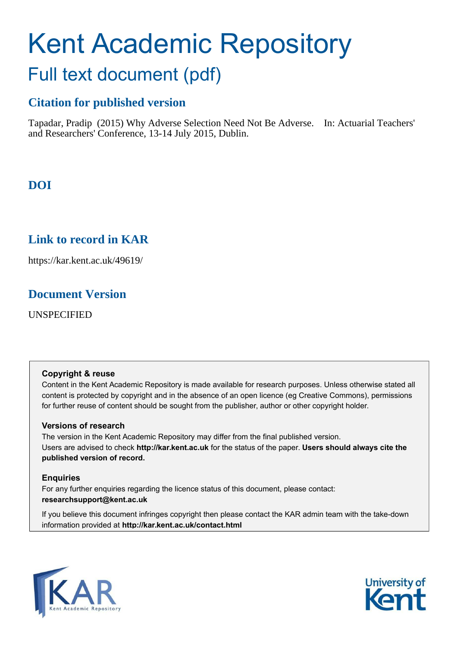# <span id="page-0-0"></span>Kent Academic Repository

# Full text document (pdf)

## **Citation for published version**

Tapadar, Pradip (2015) Why Adverse Selection Need Not Be Adverse. In: Actuarial Teachers' and Researchers' Conference, 13-14 July 2015, Dublin.

# **DOI**

## **Link to record in KAR**

https://kar.kent.ac.uk/49619/

## **Document Version**

UNSPECIFIED

#### **Copyright & reuse**

Content in the Kent Academic Repository is made available for research purposes. Unless otherwise stated all content is protected by copyright and in the absence of an open licence (eg Creative Commons), permissions for further reuse of content should be sought from the publisher, author or other copyright holder.

#### **Versions of research**

The version in the Kent Academic Repository may differ from the final published version. Users are advised to check **http://kar.kent.ac.uk** for the status of the paper. **Users should always cite the published version of record.**

#### **Enquiries**

For any further enquiries regarding the licence status of this document, please contact: **researchsupport@kent.ac.uk**

If you believe this document infringes copyright then please contact the KAR admin team with the take-down information provided at **http://kar.kent.ac.uk/contact.html**



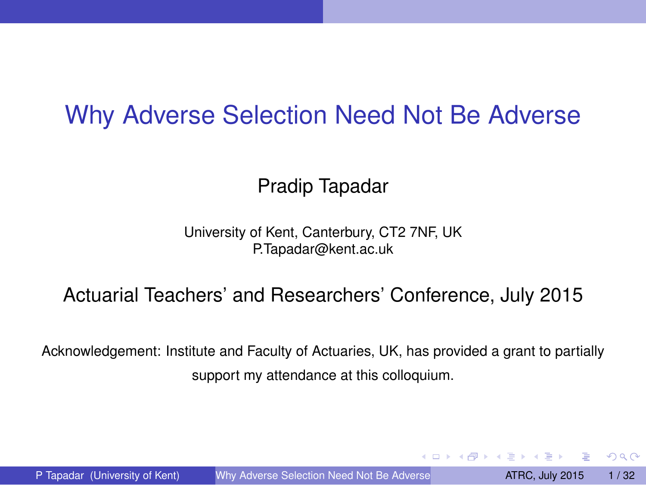## <span id="page-1-0"></span>Why Adverse Selection Need Not Be Adverse

#### Pradip Tapadar

University of Kent, Canterbury, CT2 7NF, UK P.Tapadar@kent.ac.uk

#### Actuarial Teachers' and Researchers' Conference, July 2015

Acknowledgement: Institute and Faculty of Actuaries, UK, has provided a grant to partially support my attendance at this colloquium.

P Tapadar (University of Kent) [Why Adverse Selection Need Not Be Adverse](#page-31-0) **ATRC, July 2015** 1/32

 $\Omega$ 

イロト イ押 トイラト イラト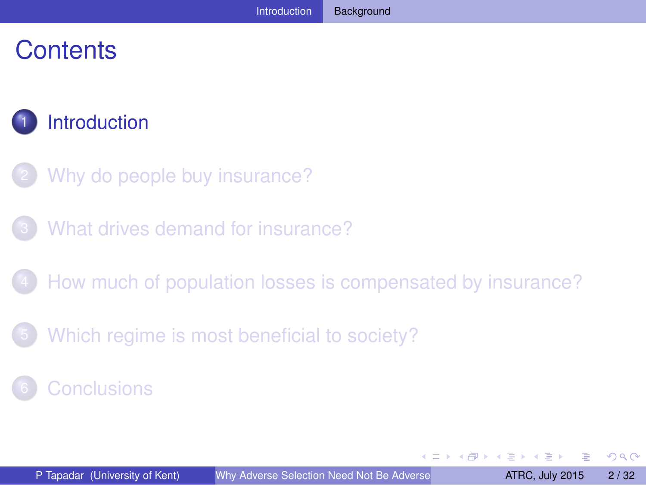## <span id="page-2-0"></span>**Contents**



- [Why do people buy insurance?](#page-5-0)
- [What drives demand for insurance?](#page-11-0)
- [How much of population losses is compensated by insurance?](#page-17-0)
- [Which regime is most beneficial to society?](#page-27-0)

**[Conclusions](#page-29-0)** 

 $\Omega$ 

4 17 18

 $\overline{AB}$  $\sim$ The South The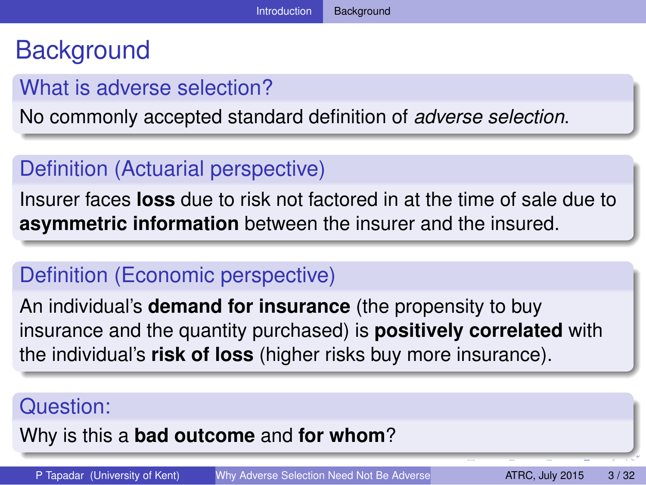## <span id="page-3-0"></span>**Background**

#### What is adverse selection?

No commonly accepted standard definition of *adverse selection*.

#### Definition (Actuarial perspective)

Insurer faces **loss** due to risk not factored in at the time of sale due to **asymmetric information** between the insurer and the insured.

#### Definition (Economic perspective)

An individual's **demand for insurance** (the propensity to buy insurance and the quantity purchased) is **positively correlated** with the individual's **risk of loss** (higher risks buy more insurance).

#### Question:

Why is this a **bad outcome** and **for whom**?

P Tapadar (University of Kent) [Why Adverse Selection Need Not Be Adverse](#page-0-0) **ATRC, July 2015** 3/32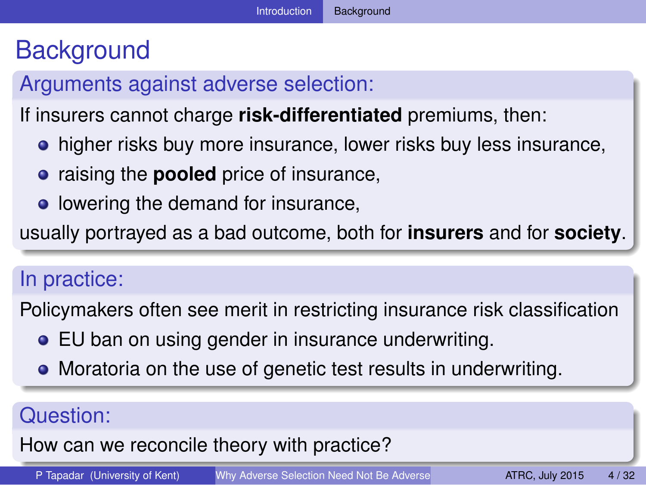## <span id="page-4-0"></span>**Background**

#### Arguments against adverse selection:

If insurers cannot charge **risk-differentiated** premiums, then:

- **•** higher risks buy more insurance, lower risks buy less insurance,
- **•** raising the **pooled** price of insurance,
- lowering the demand for insurance,

usually portrayed as a bad outcome, both for **insurers** and for **society**.

#### In practice:

Policymakers often see merit in restricting insurance risk classification

- EU ban on using gender in insurance underwriting.
- Moratoria on the use of genetic test results in underwriting.

#### Question:

#### How can we reconcile theory with practice?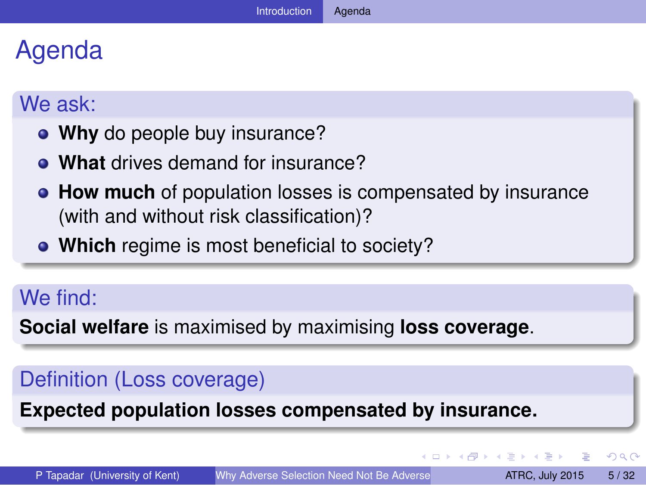## <span id="page-5-0"></span>Agenda

#### We ask:

- **Why** do people buy insurance?
- **What** drives demand for insurance?
- **How much** of population losses is compensated by insurance (with and without risk classification)?
- **Which** regime is most beneficial to society?

#### We find:

**Social welfare** is maximised by maximising **loss coverage**.

#### Definition (Loss coverage)

**Expected population losses compensated by insurance.**

 $\Omega$ 

イロト イ押ト イヨト イヨ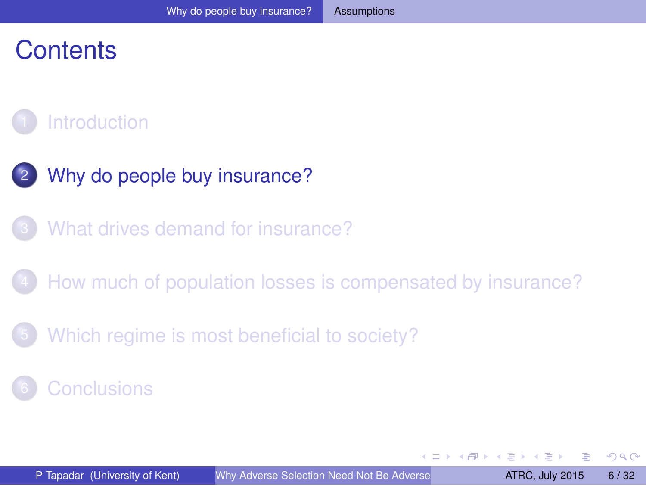## <span id="page-6-0"></span>**Contents**

## **[Introduction](#page-1-0)**

- [Why do people buy insurance?](#page-5-0)
- [What drives demand for insurance?](#page-11-0)
- [How much of population losses is compensated by insurance?](#page-17-0)
- [Which regime is most beneficial to society?](#page-27-0)

#### **[Conclusions](#page-29-0)**

 $\Omega$ 

All in

**All The South The**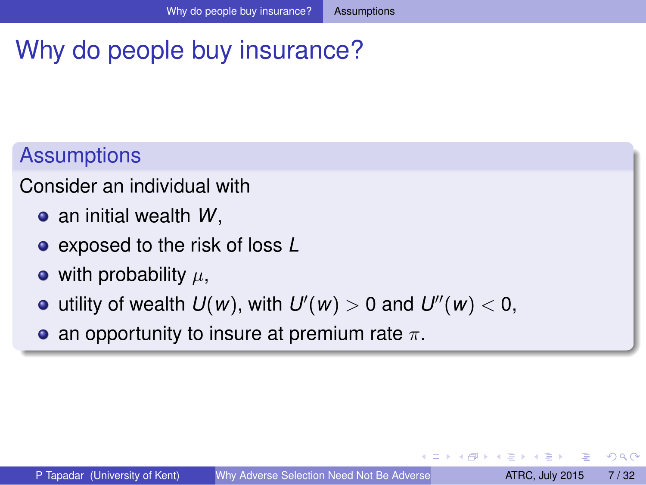## <span id="page-7-0"></span>Why do people buy insurance?

### **Assumptions**

Consider an individual with

- an initial wealth *W*,
- exposed to the risk of loss *L*
- with probability  $\mu$ ,
- utility of wealth  $U(w)$ , with  $U'(w) > 0$  and  $U''(w) < 0$ ,
- an opportunity to insure at premium rate  $\pi$ .

 $\Omega$ 

 $\left\{ \left| \mathbf{a} \right| \right\}$  , and  $\left| \mathbf{a} \right|$  , and  $\left| \mathbf{a} \right|$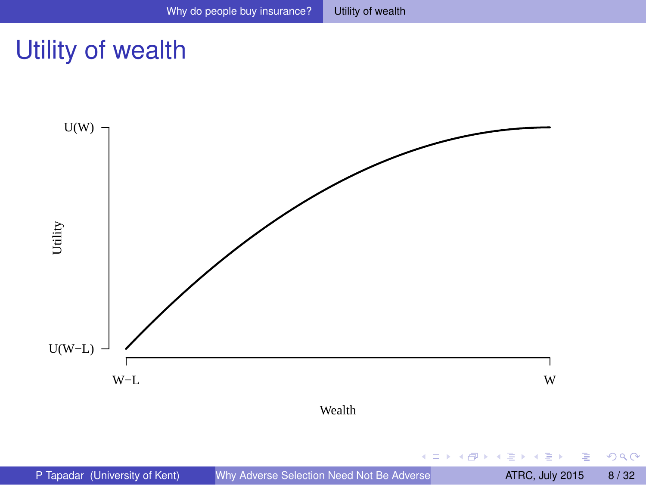$299$ 

## <span id="page-8-0"></span>Utility of wealth

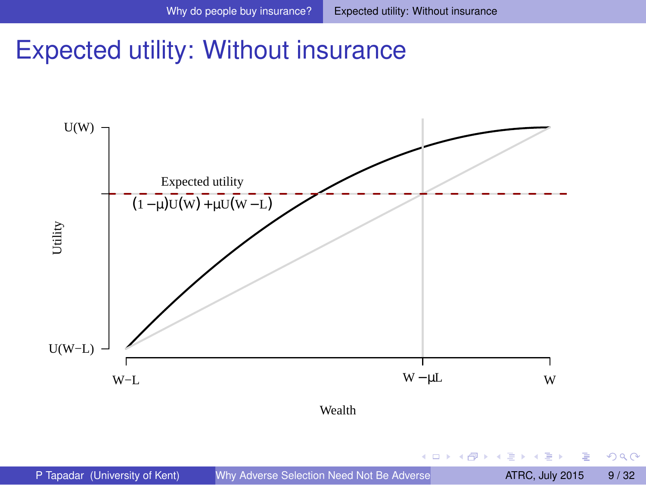## <span id="page-9-0"></span>Expected utility: Without insurance

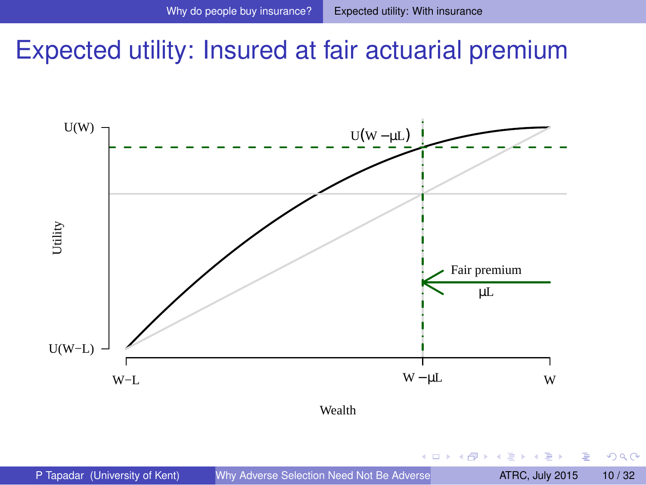## <span id="page-10-0"></span>Expected utility: Insured at fair actuarial premium

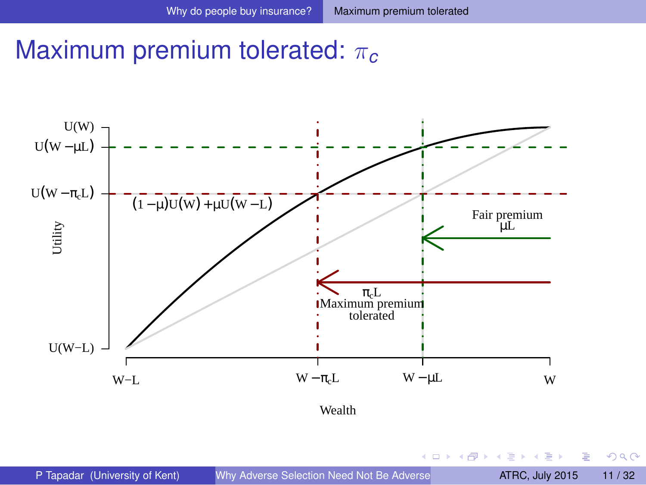## <span id="page-11-0"></span>Maximum premium tolerated: π*<sup>c</sup>*

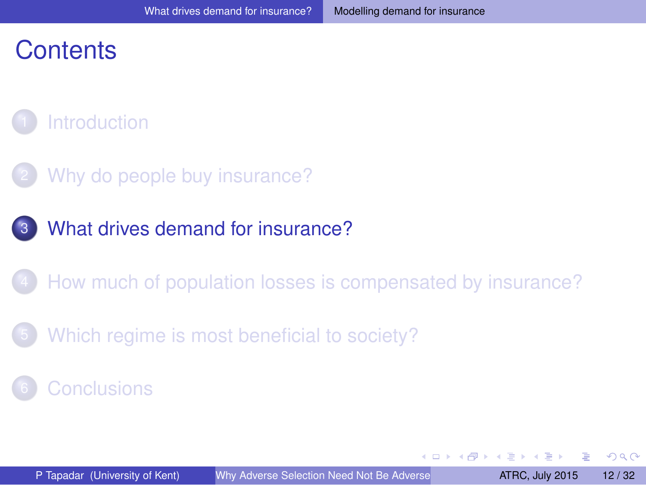## <span id="page-12-0"></span>**Contents**



- [Why do people buy insurance?](#page-5-0)
- [What drives demand for insurance?](#page-11-0)
- [How much of population losses is compensated by insurance?](#page-17-0)
- [Which regime is most beneficial to society?](#page-27-0)

**[Conclusions](#page-29-0)** 

 $\Omega$ 

4.000.00

 $\overline{AB}$ 

化重压 化重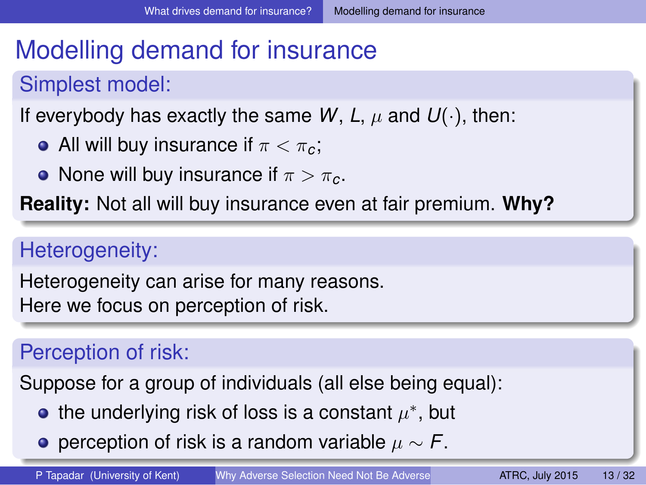## <span id="page-13-0"></span>Modelling demand for insurance

#### Simplest model:

If everybody has exactly the same W, L,  $\mu$  and  $U(\cdot)$ , then:

- All will buy insurance if  $\pi < \pi_c$ ;
- None will buy insurance if  $\pi > \pi_c$ .

**Reality:** Not all will buy insurance even at fair premium. **Why?**

#### Heterogeneity:

Heterogeneity can arise for many reasons. Here we focus on perception of risk.

#### Perception of risk:

Suppose for a group of individuals (all else being equal):

- the underlying risk of loss is a constant  $\mu^*$ , but
- **•** perception of risk is a random variable  $\mu \sim F$ [.](#page-13-0)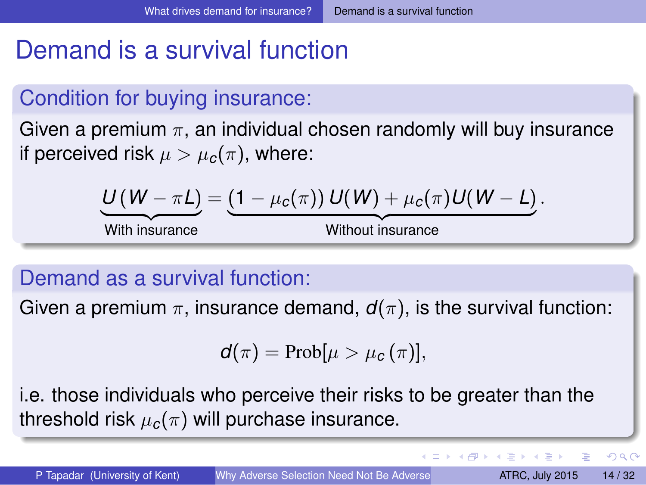## <span id="page-14-0"></span>Demand is a survival function

#### Condition for buying insurance:

Given a premium  $\pi$ , an individual chosen randomly will buy insurance if perceived risk  $\mu > \mu_c(\pi)$ , where:

$$
\underbrace{U(W-\pi L)}_{\text{With insurance}} = \underbrace{(1-\mu_c(\pi)) U(W) + \mu_c(\pi) U(W - L)}_{\text{Without insurance}}.
$$

#### Demand as a survival function:

Given a premium  $\pi$ , insurance demand,  $d(\pi)$ , is the survival function:

$$
d(\pi) = Prob[\mu > \mu_c(\pi)],
$$

i.e. those individuals who perceive their risks to be greater than the threshold risk  $\mu_c(\pi)$  will purchase insurance.

D.

 $QQQ$ 

イロト イ押 トイラ トイラトー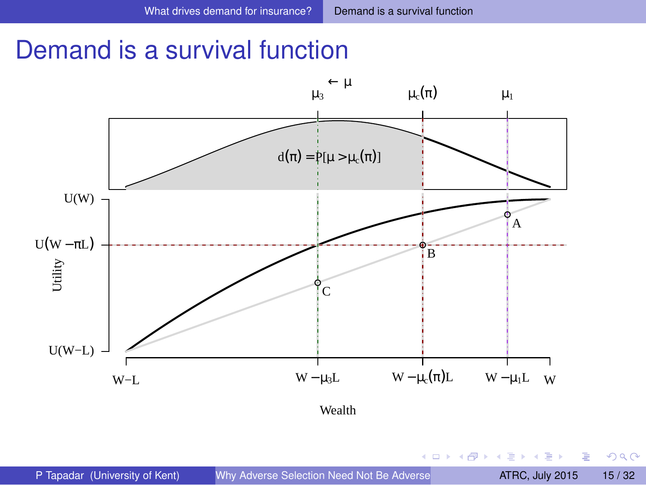## <span id="page-15-0"></span>Demand is a survival function

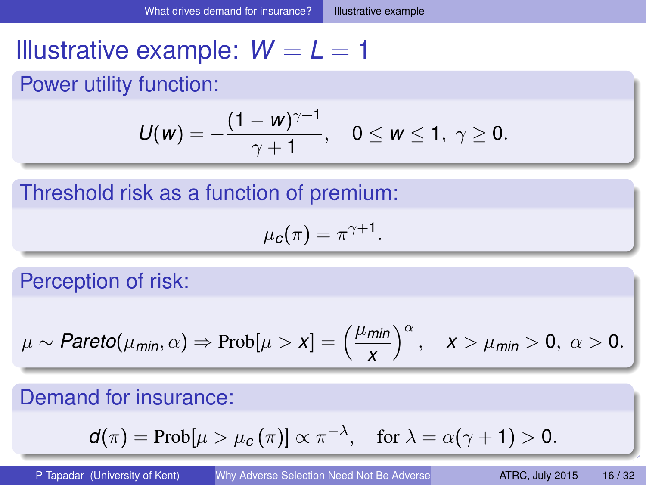## <span id="page-16-0"></span>Illustrative example:  $W = L = 1$

#### Power utility function:

$$
U(w) = -\frac{(1 - w)^{\gamma + 1}}{\gamma + 1}, \quad 0 \le w \le 1, \ \gamma \ge 0.
$$

Threshold risk as a function of premium:

$$
\mu_c(\pi)=\pi^{\gamma+1}.
$$

Perception of risk:

$$
\mu \sim \text{Pareto}(\mu_{\text{min}}, \alpha) \Rightarrow \text{Prob}[\mu > x] = \left(\frac{\mu_{\text{min}}}{x}\right)^{\alpha}, \quad x > \mu_{\text{min}} > 0, \ \alpha > 0.
$$

#### Demand for insurance:

$$
d(\pi) = \text{Prob}[\mu > \mu_c(\pi)] \propto \pi^{-\lambda}, \quad \text{for } \lambda = \alpha(\gamma + 1) > 0.
$$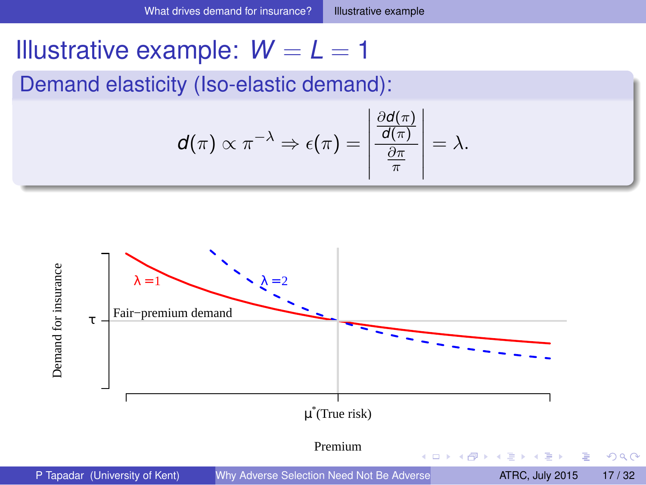## <span id="page-17-0"></span>Illustrative example:  $W = L = 1$

Demand elasticity (Iso-elastic demand):

$$
d(\pi) \propto \pi^{-\lambda} \Rightarrow \epsilon(\pi) = \left| \frac{\frac{\partial d(\pi)}{d(\pi)}}{\frac{\partial \pi}{\pi}} \right| = \lambda.
$$

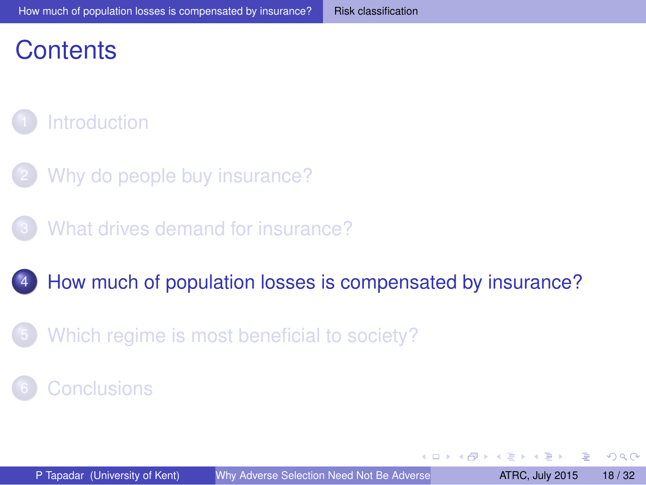## <span id="page-18-0"></span>**Contents**

## **[Introduction](#page-1-0)**

- [Why do people buy insurance?](#page-5-0)
- [What drives demand for insurance?](#page-11-0)

#### 4 [How much of population losses is compensated by insurance?](#page-17-0)

[Which regime is most beneficial to society?](#page-27-0)

#### **[Conclusions](#page-29-0)**

 $\Omega$ 

4.000.00

 $\overline{a}$ 

化重新分量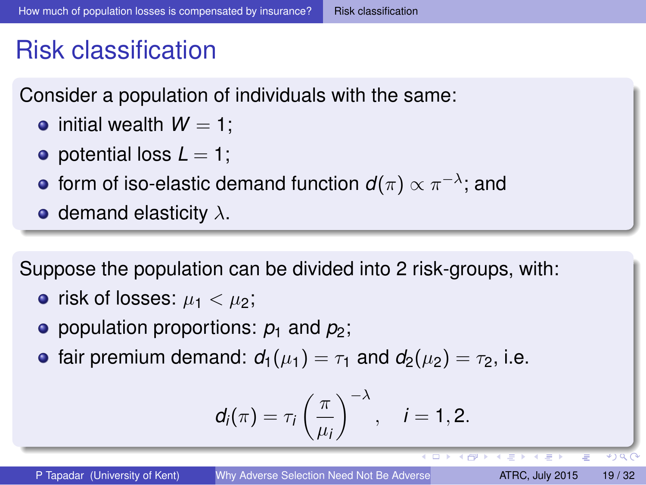## <span id="page-19-0"></span>Risk classification

Consider a population of individuals with the same:

- $\bullet$  initial wealth  $W = 1$ :
- $\bullet$  potential loss  $L = 1$ ;
- form of iso-elastic demand function  $\bm{d}(\pi) \propto \pi^{-\lambda}$ ; and
- demand elasticity  $\lambda$ .

Suppose the population can be divided into 2 risk-groups, with:

- risk of losses:  $\mu_1 < \mu_2$ ;
- **•** population proportions:  $p_1$  and  $p_2$ ;
- **•** fair premium demand:  $d_1(\mu_1) = \tau_1$  and  $d_2(\mu_2) = \tau_2$ , i.e.

$$
d_i(\pi)=\tau_i\left(\frac{\pi}{\mu_i}\right)^{-\lambda}, \quad i=1,2.
$$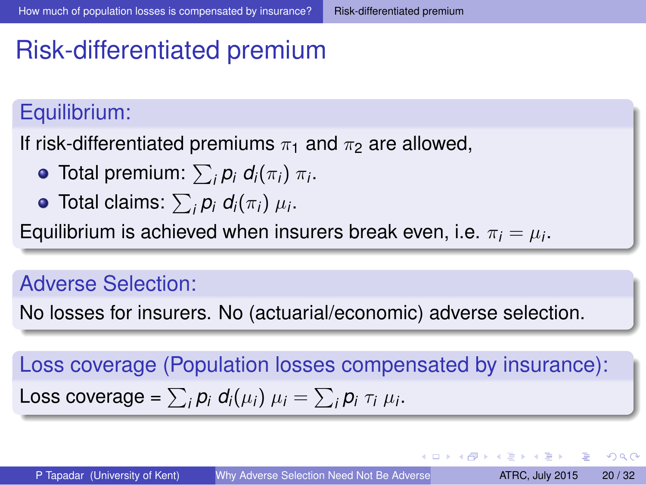## <span id="page-20-0"></span>Risk-differentiated premium

#### Equilibrium:

If risk-differentiated premiums  $\pi_1$  and  $\pi_2$  are allowed,

- Total premium:  $\sum_i p_i d_i(\pi_i) \pi_i$ .
- Total claims:  $\sum_{i} p_i d_i(\pi_i) \mu_i$ .

Equilibrium is achieved when insurers break even, i.e.  $\pi_i = \mu_i.$ 

#### Adverse Selection:

No losses for insurers. No (actuarial/economic) adverse selection.

Loss coverage (Population losses compensated by insurance): Loss coverage =  $\sum_i p_i d_i(\mu_i) \mu_i = \sum_i p_i \tau_i \mu_i$ .

 $\Omega$ 

 $(0.123 \times 10^{-14})$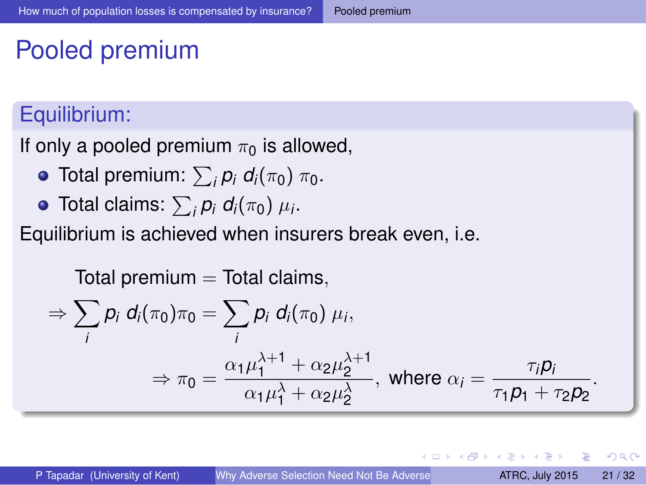## <span id="page-21-0"></span>Pooled premium

#### Equilibrium:

If only a pooled premium  $\pi_0$  is allowed,

- **Total premium:**  $\sum_{i} p_i d_i(\pi_0) \pi_0$ .
- Total claims:  $\sum_{i}^{} \rho_{i}$   $d_{i}(\pi_{0})$   $\mu_{i}.$

Equilibrium is achieved when insurers break even, i.e.

$$
Total premium = Total claims,
$$

$$
\Rightarrow \sum_{i} p_i d_i(\pi_0) \pi_0 = \sum_{i} p_i d_i(\pi_0) \mu_i,
$$
  

$$
\Rightarrow \pi_0 = \frac{\alpha_1 \mu_1^{\lambda+1} + \alpha_2 \mu_2^{\lambda+1}}{\alpha_1 \mu_1^{\lambda} + \alpha_2 \mu_2^{\lambda}}, \text{ where } \alpha_i = \frac{\pi_i p_i}{\pi_1 p_1 + \pi_2 p_2}.
$$

 $\Omega$ 

化重氮化重氮

 $\overline{a}$ 

4 0 5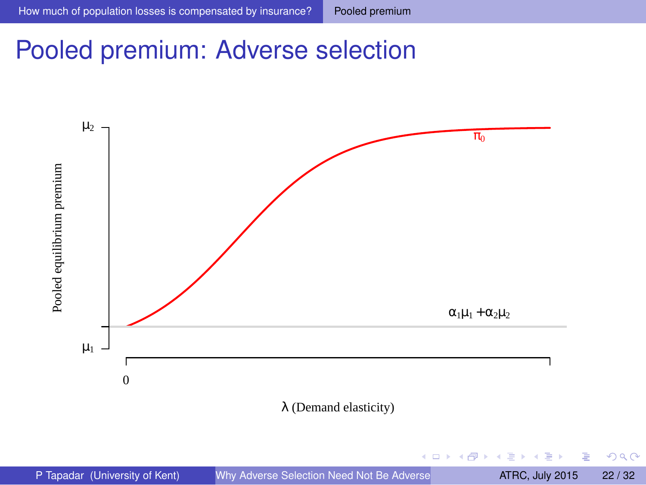$299$ 

## <span id="page-22-0"></span>Pooled premium: Adverse selection

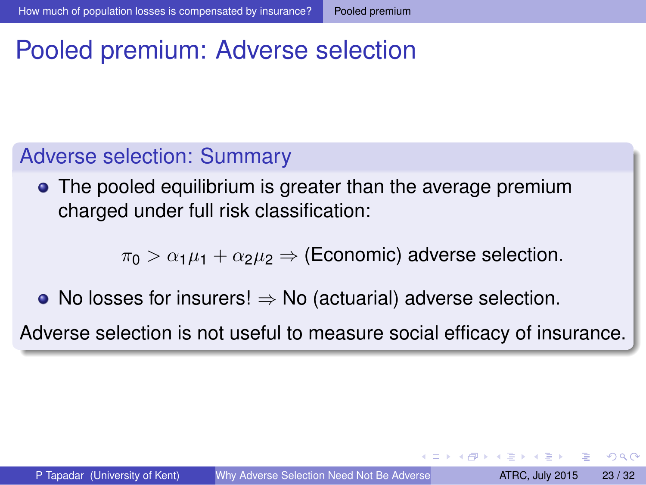## <span id="page-23-0"></span>Pooled premium: Adverse selection

#### Adverse selection: Summary

**•** The pooled equilibrium is greater than the average premium charged under full risk classification:

 $\pi_0 > \alpha_1 \mu_1 + \alpha_2 \mu_2 \Rightarrow$  (Economic) adverse selection.

• No losses for insurers!  $\Rightarrow$  No (actuarial) adverse selection.

Adverse selection is not useful to measure social efficacy of insurance.

 $\Omega$ 

化重氮化重氮

 $\overline{AB}$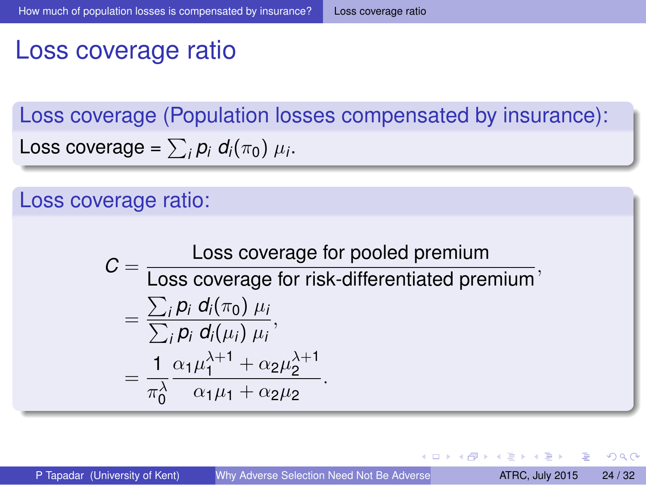## <span id="page-24-0"></span>Loss coverage ratio

Loss coverage (Population losses compensated by insurance): Loss coverage =  $\sum_i p_i d_i(\pi_0) \mu_i$ .

#### Loss coverage ratio:

$$
C = \frac{\text{Loss coverage for pooled premium}}{\text{Loss coverage for risk-differentiated premium}},
$$
  
= 
$$
\frac{\sum_{i} p_{i} d_{i}(\pi_{0}) \mu_{i}}{\sum_{i} p_{i} d_{i}(\mu_{i}) \mu_{i}},
$$
  
= 
$$
\frac{1}{\pi_{0}^{\lambda}} \frac{\alpha_{1} \mu_{1}^{\lambda+1} + \alpha_{2} \mu_{2}^{\lambda+1}}{\alpha_{1} \mu_{1} + \alpha_{2} \mu_{2}}.
$$

в

 $\Omega$ 

 $(0,1)$   $(0,1)$   $(0,1)$   $(1,1)$   $(1,1)$   $(1,1)$   $(1,1)$   $(1,1)$   $(1,1)$   $(1,1)$   $(1,1)$   $(1,1)$   $(1,1)$   $(1,1)$   $(1,1)$   $(1,1)$   $(1,1)$   $(1,1)$   $(1,1)$   $(1,1)$   $(1,1)$   $(1,1)$   $(1,1)$   $(1,1)$   $(1,1)$   $(1,1)$   $(1,1)$   $(1,1$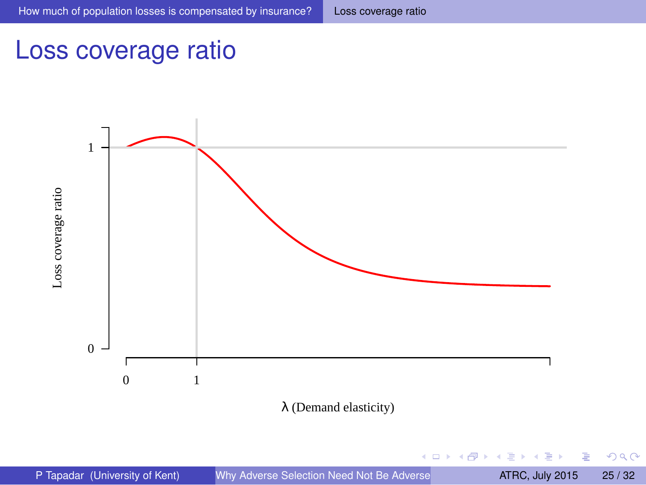#### <span id="page-25-0"></span>Loss coverage ratio

Loss coverage ratio





 $-0.11 - 1.0$ 

重

 $299$ 

 $A \stackrel{\frown}{=} A \stackrel{\frown}{=} A \stackrel{\frown}{=} A \stackrel{\frown}{=} A \stackrel{\frown}{=} A$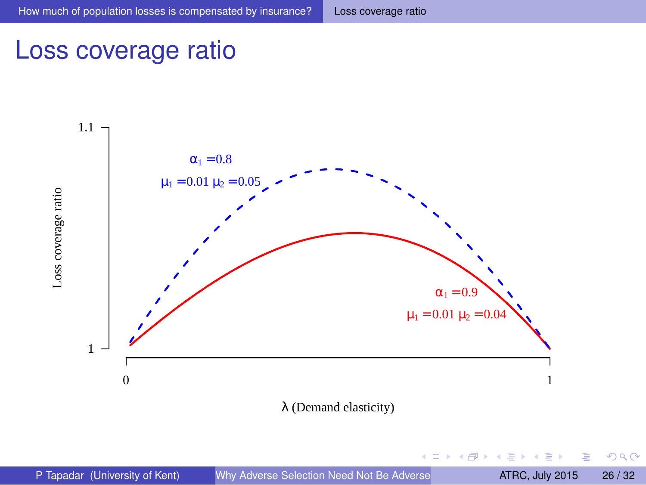$-0.11 - 1.0$ 

 $\leftarrow$   $\leftarrow$   $\leftarrow$ 

 $A \equiv A \quad A \equiv$ 

E

- b

 $299$ 

#### <span id="page-26-0"></span>Loss coverage ratio

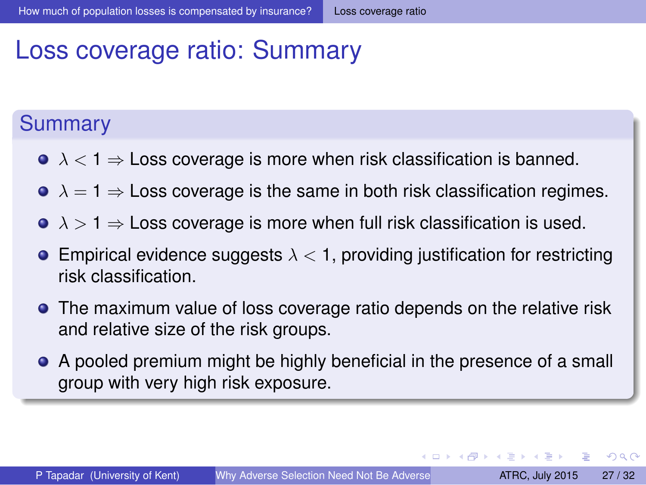## <span id="page-27-0"></span>Loss coverage ratio: Summary

#### **Summary**

- $\bullet \lambda < 1 \Rightarrow$  Loss coverage is more when risk classification is banned.
- $\bullet \lambda = 1 \Rightarrow$  Loss coverage is the same in both risk classification regimes.
- $\bullet \lambda > 1 \Rightarrow$  Loss coverage is more when full risk classification is used.
- **Empirical evidence suggests**  $\lambda < 1$ , providing justification for restricting risk classification.
- **•** The maximum value of loss coverage ratio depends on the relative risk and relative size of the risk groups.
- A pooled premium might be highly beneficial in the presence of a small group with very high risk exposure.

 $\Omega$ 

 $(0.123 \times 10^{-14})$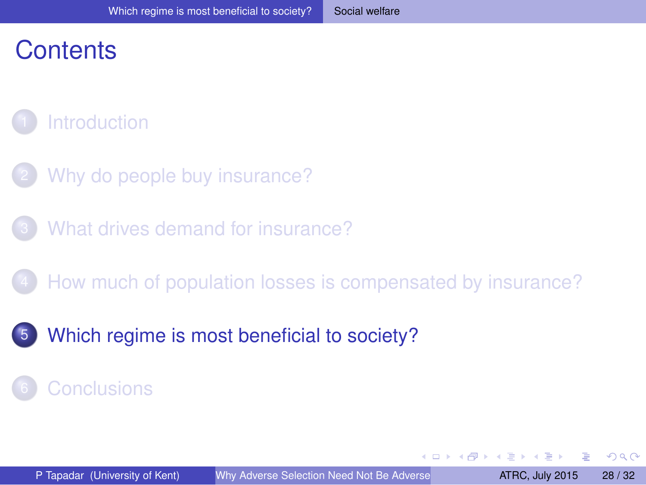## <span id="page-28-0"></span>**Contents**

## **[Introduction](#page-1-0)**

- [Why do people buy insurance?](#page-5-0)
- [What drives demand for insurance?](#page-11-0)
- [How much of population losses is compensated by insurance?](#page-17-0)
- [Which regime is most beneficial to society?](#page-27-0)

#### **[Conclusions](#page-29-0)**

 $\Omega$ 

 $4.60 \times 4.70 \times 4.70$ 

4.000.00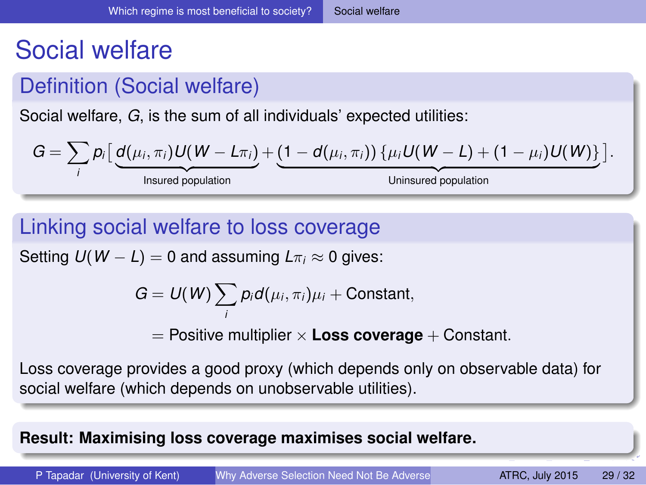## <span id="page-29-0"></span>Social welfare

#### Definition (Social welfare)

Social welfare, *G*, is the sum of all individuals' expected utilities:

$$
G = \sum_i p_i \left[ \underbrace{d(\mu_i, \pi_i) U(W - L\pi_i)}_{\text{insured population}} + \underbrace{(1 - d(\mu_i, \pi_i)) \{ \mu_i U(W - L) + (1 - \mu_i) U(W) \}}_{\text{Uninsured population}} \right].
$$

#### Linking social welfare to loss coverage

Setting  $U(W - L) = 0$  and assuming  $L\pi_i \approx 0$  gives:

$$
G=U(W)\sum_i p_i d(\mu_i,\pi_i)\mu_i+\text{Constant},
$$

 $=$  Positive multiplier  $\times$  **Loss coverage**  $+$  Constant.

Loss coverage provides a good proxy (which depends only on observable data) for social welfare (which depends on unobservable utilities).

#### **Result: Maximising loss coverage maximises social welfare.**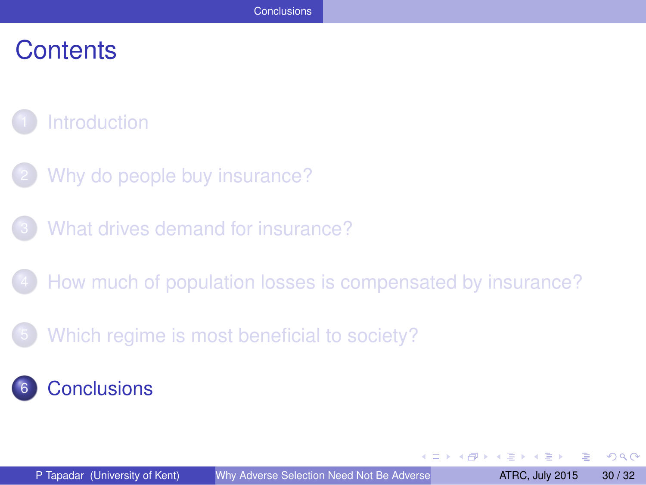## <span id="page-30-0"></span>**Contents**

## **[Introduction](#page-1-0)**

- [Why do people buy insurance?](#page-5-0)
- [What drives demand for insurance?](#page-11-0)
- 4 [How much of population losses is compensated by insurance?](#page-17-0)
- 5 [Which regime is most beneficial to society?](#page-27-0)

#### **[Conclusions](#page-29-0)**

 $\Omega$ 

不同 医不同

4.000.00

4 同 下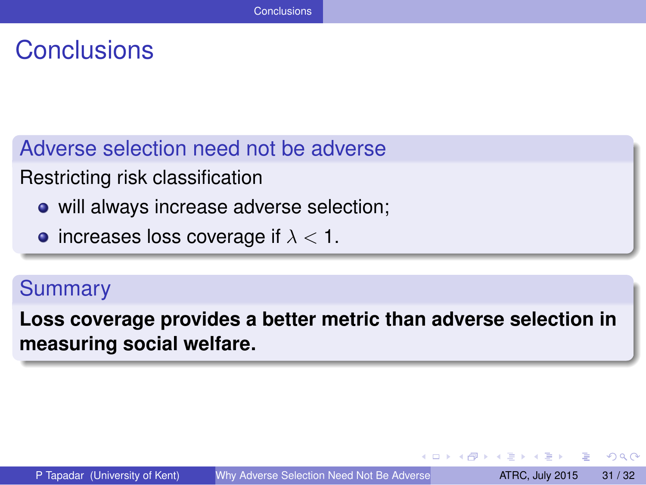## <span id="page-31-0"></span>**Conclusions**

Adverse selection need not be adverse

Restricting risk classification

- will always increase adverse selection;
- increases loss coverage if  $\lambda < 1$ .

#### **Summary**

**Loss coverage provides a better metric than adverse selection in measuring social welfare.**

 $\Omega$ 

押 トイヨ トイヨト